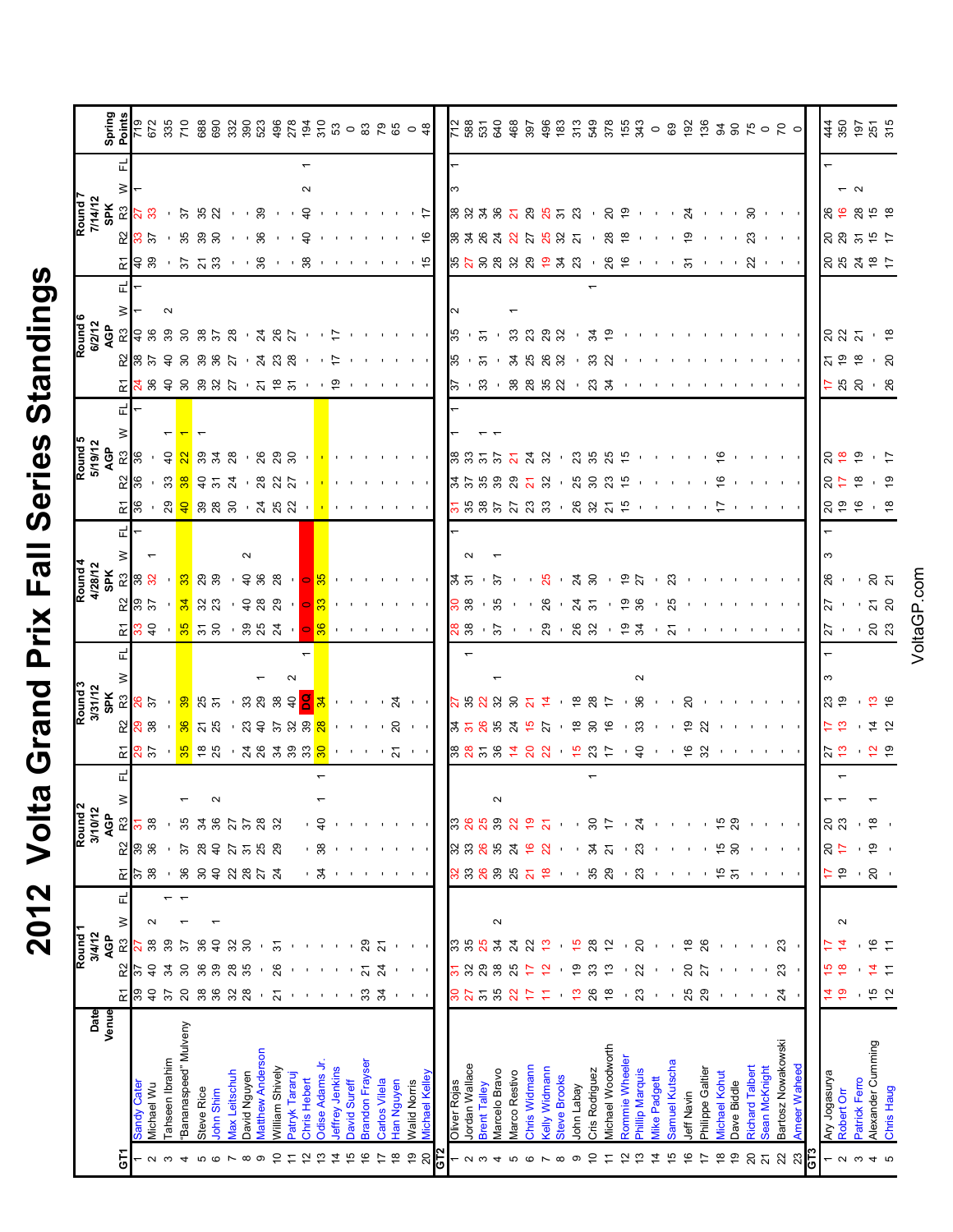| ١<br>J               |
|----------------------|
|                      |
|                      |
| i                    |
|                      |
| CINO.<br>ルレーレ<br>レーレ |
|                      |
| –<br>Tal             |
| Prix                 |
|                      |
| <b>DUR</b>           |
|                      |
|                      |
|                      |
|                      |
| <b>2012</b><br>Τ     |
|                      |

| Date<br>Venue                         |                                                                 |                          | Round <sub>1</sub><br>3/4/12 |        |   |                         |                           | Round <sub>2</sub><br>3/10/12 |   |                             |                                     | Round 3<br>3/31/12<br>SPK |   |                                                               |                                |               |        |                                              |                                                  | Round 5<br>5/19/12 |   |                                                   |                                               | Round 6<br>6/2/12                             |        |                                             | Round 7<br>7/14/12                                                  |   |   |                                                                                                                                                                                                                                |
|---------------------------------------|-----------------------------------------------------------------|--------------------------|------------------------------|--------|---|-------------------------|---------------------------|-------------------------------|---|-----------------------------|-------------------------------------|---------------------------|---|---------------------------------------------------------------|--------------------------------|---------------|--------|----------------------------------------------|--------------------------------------------------|--------------------|---|---------------------------------------------------|-----------------------------------------------|-----------------------------------------------|--------|---------------------------------------------|---------------------------------------------------------------------|---|---|--------------------------------------------------------------------------------------------------------------------------------------------------------------------------------------------------------------------------------|
|                                       | 쥰                                                               | R <sub>2</sub>           | AGP<br>R3                    | $\geq$ | 군 | 균                       |                           | ≳<br>AGP<br>$\mathbb R^3$     |   | 应                           |                                     |                           |   |                                                               |                                |               |        |                                              | ЪР                                               |                    | 正 |                                                   |                                               | ទ្ទិ                                          |        |                                             | <mark>ន</mark> ិដ្ឋាន នេង                                           | ≶ | ᄄ | Spring<br>Points                                                                                                                                                                                                               |
| <b>Sandy Cate</b>                     | 86                                                              | $\approx$                |                              |        |   |                         | 288                       | 5                             |   |                             | 20 38                               | $\frac{28}{25}$           |   |                                                               | 285                            |               |        | 죄                                            | 없  않                                             | $\frac{8}{36}$     |   |                                                   | $E \approx 8.5$                               | $E = 8.8$                                     |        | 28 <sub>3</sub><br>또 승 왕                    |                                                                     |   |   | <b>6LZ</b>                                                                                                                                                                                                                     |
| Michael Wu                            | $\overline{4}$                                                  | ੩                        | జ                            | $\sim$ |   | $\frac{8}{25}$          |                           | 38                            |   | 25<br>25                    |                                     |                           |   |                                                               |                                |               |        |                                              |                                                  |                    |   |                                                   |                                               |                                               |        |                                             |                                                                     |   |   | 672                                                                                                                                                                                                                            |
| <b>Tahseen Ibrahim</b>                | 57                                                              | 몼                        | စ္က                          |        |   |                         |                           |                               |   |                             |                                     |                           |   |                                                               |                                | $\mathbf{1}$  |        |                                              | $\frac{4}{5}$<br>- 33                            |                    |   |                                                   |                                               |                                               | $\sim$ |                                             |                                                                     |   |   | 335                                                                                                                                                                                                                            |
| Bananaspeed" Mulveny                  | 20                                                              | င္က                      | స్                           |        |   | 36                      | 57                        | 35                            |   |                             | <mark>ៈ ន</mark> ភង                 | <mark>. ೫</mark> ನಿ ಸ     |   | <mark>ក្ត</mark> ្រាទ នេ                                      | . <mark>` ೫</mark> ೫ ಐ         | 33            |        |                                              | $\frac{8}{3}$                                    |                    |   |                                                   |                                               |                                               |        | ់ <i>`</i> ភ ភ ៊ី                           |                                                                     |   |   |                                                                                                                                                                                                                                |
| Steve Rice                            | $38\,$                                                          |                          |                              |        |   | $\boldsymbol{S}$        | 28                        | रु                            |   |                             |                                     |                           |   |                                                               |                                |               |        |                                              |                                                  |                    |   |                                                   |                                               | 30 35<br>30                                   |        |                                             |                                                                     |   |   |                                                                                                                                                                                                                                |
| John Shim                             | 36                                                              | တ္တ                      | ¥                            |        |   | $\overline{4}$          | $\overline{4}$            | 36                            |   | $\frac{8}{25}$              |                                     |                           |   |                                                               |                                | ನಿ ಇ          |        | ន <mark>្ល ទ</mark> ូ ខ្លួន ទូ ។ ដូន ន       | $953$ '                                          | 33 x               |   |                                                   | ន នគន $\sim$                                  |                                               |        | ່ ສຸສ ສ                                     |                                                                     |   |   | $7.88$ $8.88$ $8.88$ $8.87$ $7.88$ $8.89$ $8.89$ $8.89$ $8.89$ $8.89$ $8.89$ $8.89$ $8.89$ $8.89$ $8.89$ $8.89$ $8.89$ $8.89$ $8.89$ $8.89$ $8.89$ $8.89$ $8.89$ $8.89$ $8.89$ $8.89$ $8.89$ $8.89$ $8.89$ $8.89$ $8.89$ $8.8$ |
| <b>Max Leitschuh</b>                  | $\overline{3}$                                                  | 28                       | ಜ                            |        |   | 2853                    | 27                        | 27                            |   |                             |                                     |                           |   |                                                               |                                |               |        |                                              |                                                  |                    |   |                                                   |                                               | 28                                            |        | $+$ + $\%$                                  |                                                                     |   |   |                                                                                                                                                                                                                                |
| David Nguyen                          | 28                                                              | న్ల                      | ౭                            |        |   |                         | $\overline{5}$            | 57                            |   |                             |                                     | . ಜ ಜ                     |   |                                                               |                                |               | $\sim$ |                                              |                                                  |                    |   |                                                   |                                               |                                               |        | $+ + 8$                                     | $\cdot$ , $\frac{9}{2}$                                             |   |   |                                                                                                                                                                                                                                |
| <b>Matthew Anderson</b>               |                                                                 |                          |                              |        |   |                         | 25                        | 28                            |   | 38333                       | $-377228$                           |                           |   | $-3833 -$                                                     |                                | $-9.88$       |        |                                              | 26                                               |                    |   |                                                   | 24<br>23<br>28                                | 24<br>26<br>27                                |        |                                             |                                                                     |   |   |                                                                                                                                                                                                                                |
| William Shively                       | $\overline{2}$                                                  | 26                       | 5                            |        |   |                         | 29                        | 32                            |   |                             |                                     | జ                         |   |                                                               |                                |               |        |                                              | ನೆ ಇ                                             |                    |   |                                                   |                                               |                                               |        | $+ + 8$                                     |                                                                     |   |   |                                                                                                                                                                                                                                |
| Patryk Tararuj                        |                                                                 |                          |                              |        |   |                         |                           |                               |   |                             |                                     | $\theta$                  |   |                                                               |                                |               |        |                                              |                                                  |                    |   |                                                   |                                               |                                               |        | $\cdot$ $\cdot$ $\approx$                   |                                                                     |   |   |                                                                                                                                                                                                                                |
| Chris Hebert                          |                                                                 |                          |                              |        |   |                         |                           |                               |   |                             |                                     |                           |   | $\circ$ $\mathbb{8}$                                          |                                |               |        |                                              |                                                  |                    |   |                                                   |                                               |                                               |        |                                             | ੩                                                                   |   |   |                                                                                                                                                                                                                                |
| Odise Adams Jr                        |                                                                 |                          |                              |        |   | ' क्ल                   | . 38                      | , <del>५</del>                |   |                             | $\frac{8}{2}$                       |                           |   |                                                               |                                |               |        |                                              |                                                  |                    |   |                                                   |                                               |                                               |        |                                             |                                                                     |   |   |                                                                                                                                                                                                                                |
| Jeffrey Jenkins                       |                                                                 |                          |                              |        |   |                         |                           |                               |   |                             |                                     |                           |   |                                                               |                                |               |        |                                              |                                                  |                    |   | ္                                                 |                                               | ₽                                             |        |                                             |                                                                     |   |   |                                                                                                                                                                                                                                |
| David Sureff                          |                                                                 |                          |                              |        |   |                         |                           |                               |   |                             |                                     |                           |   |                                                               |                                |               |        |                                              |                                                  |                    |   |                                                   |                                               |                                               |        |                                             |                                                                     |   |   |                                                                                                                                                                                                                                |
| Brandon Frayser                       | $33\,$                                                          | 21                       | ని                           |        |   |                         |                           |                               |   |                             |                                     |                           |   |                                                               |                                |               |        |                                              |                                                  |                    |   |                                                   |                                               |                                               |        |                                             | $\mathbf{1}=\mathbf{1}=\mathbf{1}=\mathbf{1}=\mathbf{1}=\mathbf{1}$ |   |   |                                                                                                                                                                                                                                |
| Carlos Vilela                         | $\mathfrak{L}$                                                  | $\overline{\mathcal{Z}}$ | $\overline{\mathcal{S}}$     |        |   |                         | $\blacksquare$            |                               |   |                             |                                     |                           |   |                                                               |                                |               |        |                                              |                                                  |                    |   |                                                   |                                               |                                               |        |                                             |                                                                     |   |   |                                                                                                                                                                                                                                |
| Han Nguyen                            |                                                                 |                          | $\blacksquare$               |        |   |                         | $\mathbf{I}$              | $\mathbf{1}$ , $\mathbf{1}$   |   |                             | $\cdot$ $\cdot$ 8                   | $\frac{5}{4}$             |   |                                                               |                                |               |        |                                              |                                                  |                    |   |                                                   |                                               |                                               |        |                                             |                                                                     |   |   |                                                                                                                                                                                                                                |
| <b>Nalid Norris</b>                   | $\mathcal{A}=\mathcal{A}=\mathcal{A}$                           | $\sim 1$ , $\sim 1$      | $\mathbf{1}=\mathbf{1}$ .    |        |   |                         | $\mathbf{I}$ $\mathbf{I}$ | $\mathbf{I}$                  |   | つうしょる ナラ                    | $\sim 10-10$                        | <b>COMPANY</b>            |   | $\mathcal{A}=\mathcal{A}=\mathcal{A}=\mathcal{A}=\mathcal{A}$ | <b>The Committee Committee</b> |               |        |                                              |                                                  |                    |   | $\mathcal{A}=\mathcal{A}=\mathcal{A}=\mathcal{A}$ | $\mathbf{1}=\mathbf{1}=\mathbf{1}=\mathbf{1}$ | <b>The Committee Committee</b>                |        | <u>. 8</u><br>- 15                          | $\frac{1}{2}$                                                       |   |   |                                                                                                                                                                                                                                |
| <b>Michael Kelley</b>                 |                                                                 |                          |                              |        |   |                         |                           |                               |   |                             |                                     |                           |   |                                                               |                                |               |        |                                              |                                                  |                    |   |                                                   |                                               |                                               |        |                                             |                                                                     |   |   |                                                                                                                                                                                                                                |
|                                       |                                                                 |                          |                              |        |   |                         |                           |                               |   |                             |                                     |                           |   |                                                               |                                |               |        |                                              |                                                  |                    |   |                                                   |                                               |                                               |        |                                             |                                                                     |   |   |                                                                                                                                                                                                                                |
| Oliver Rojas                          |                                                                 | ಸ ಜ                      | ೫ ೫                          |        |   | ೫ ಜ                     | 33<br>೫                   | ြိ                            |   |                             |                                     |                           |   |                                                               | 88                             | ್ಲಿ ಸ         |        |                                              |                                                  |                    |   | ls2                                               | 35                                            | နိ                                            |        |                                             |                                                                     |   |   |                                                                                                                                                                                                                                |
| Jordan Wallace<br><b>Brent Talley</b> | និងន                                                            | 29                       | 25                           |        |   | 26                      | 26                        | 26                            |   |                             |                                     |                           |   |                                                               |                                |               |        |                                              |                                                  |                    |   |                                                   | $\overline{\Omega}$                           |                                               |        |                                             |                                                                     |   |   |                                                                                                                                                                                                                                |
| Marcelo Bravo                         | 35                                                              | 38                       | रू                           | $\sim$ |   | 39                      | 35                        | 39                            | N | 8858                        |                                     |                           |   |                                                               | $-35$                          |               |        |                                              |                                                  | 8855               |   | - 8 -                                             | $\sim$                                        |                                               |        | 8383                                        |                                                                     |   |   | 은 86 원<br>15 명<br>15 명                                                                                                                                                                                                         |
| Marco Restivo                         | 22                                                              | ಸಿ                       | $\overline{a}$               |        |   | 25                      | $^{24}$                   | ನಿ                            |   | $\frac{1}{4}$               |                                     |                           |   |                                                               |                                |               |        |                                              | $\overline{\mathbf{a}}$                          |                    |   |                                                   |                                               |                                               |        | ನ                                           |                                                                     |   |   |                                                                                                                                                                                                                                |
| Chris Widmann                         | ÷                                                               |                          | 22                           |        |   | $\overline{\mathbf{z}}$ | ڢ                         | ဇ္                            |   | $\overline{5}$              | <b>358535</b>                       | 2888822 . 285             |   | 885 - 856 867 868                                             | $-8.75$                        | $-5 - 8 - 38$ |        | <mark>ភ</mark> ូននគងជានិ នេង ដូ <del>ច</del> | ಸ ೫<br><b>ង</b> នៃ ខេ ខ ឌ <b>ន</b>               |                    |   | ន ន ន ន ន                                         | 3588                                          | $\sqrt{5}$ , $\sqrt{3}$ $\sqrt{3}$ $\sqrt{3}$ |        | 27<br>8288889388 89 - - - 5                 | 8838678658                                                          |   |   | 8 5 8 8 8 9 8 8 9 9 9 9 9 9 9 9 8 9 9 0 0 0                                                                                                                                                                                    |
| Kelly Widmann                         | Ξ                                                               |                          | င္း                          |        |   | \$,                     | ನ                         | ಸ                             |   | ನ                           | 77                                  |                           |   |                                                               |                                |               |        |                                              |                                                  |                    |   |                                                   |                                               |                                               |        | <b>25 25</b>                                |                                                                     |   |   |                                                                                                                                                                                                                                |
| <b>Steve Brooks</b>                   |                                                                 |                          |                              |        |   |                         |                           |                               |   | $+5$                        |                                     |                           |   |                                                               |                                |               |        |                                              |                                                  |                    |   |                                                   |                                               |                                               |        |                                             |                                                                     |   |   |                                                                                                                                                                                                                                |
| John Labay                            | ္                                                               |                          | ≌                            |        |   |                         |                           |                               |   |                             | $\frac{8}{6}$ $\frac{8}{6}$         |                           |   |                                                               |                                |               |        |                                              |                                                  |                    |   |                                                   |                                               |                                               |        |                                             |                                                                     |   |   |                                                                                                                                                                                                                                |
| Cris Rodriguez                        | 26                                                              |                          | ಙ                            |        |   | 35                      | 34                        | $30^{\circ}$                  |   | 23                          |                                     |                           |   |                                                               |                                |               |        |                                              |                                                  |                    |   | . ಇ ಸ                                             | 32<br>23                                      | న చి                                          |        |                                             |                                                                     |   |   |                                                                                                                                                                                                                                |
| <b>Michael Woodworth</b>              | $\frac{8}{16}$                                                  |                          | ≌                            |        |   | ನಿ                      |                           | ₽                             |   | $\frac{1}{2}$               |                                     |                           |   |                                                               | $-2.8$                         | $-27$         |        |                                              | ៈ ងួ ខ ឌ <del>្ព</del>                           |                    |   |                                                   |                                               |                                               |        | ಇ ಇ                                         | <u>. ୪ କ</u>                                                        |   |   |                                                                                                                                                                                                                                |
| Rommie Wheeler                        |                                                                 |                          |                              |        |   |                         |                           | $\mathbf{I}$                  |   |                             |                                     |                           |   |                                                               |                                |               |        |                                              |                                                  |                    |   |                                                   |                                               |                                               |        |                                             |                                                                     |   |   |                                                                                                                                                                                                                                |
| Phillip Marquis                       | 23                                                              | ನಿ                       | ର                            |        |   | ಔ                       | 23                        | $\overline{2}$                |   | $\frac{1}{4}$               | - 33                                | - 86                      | N |                                                               |                                |               |        |                                              | $-25.882 - 1$                                    |                    |   |                                                   |                                               |                                               |        | $\mathbf{u}$                                | $\mathbf{H} = \mathbf{H} \mathbf{H} + \mathbf{H} \mathbf{H}$        |   |   |                                                                                                                                                                                                                                |
| Vike Padgett                          |                                                                 |                          |                              |        |   |                         |                           | $\mathbf{I}$                  |   |                             |                                     |                           |   | <b>''</b> ম                                                   |                                |               |        |                                              |                                                  |                    |   |                                                   |                                               |                                               |        |                                             |                                                                     |   |   |                                                                                                                                                                                                                                |
| Samuel Kutscha                        | $\mathbf{I}$                                                    |                          |                              |        |   |                         |                           |                               |   | - 6                         |                                     |                           |   |                                                               | 25                             | ನಿ            |        |                                              |                                                  |                    |   |                                                   |                                               |                                               |        | $\cdot$ $\cdot$ $\infty$                    |                                                                     |   |   |                                                                                                                                                                                                                                |
| Jeff Navin                            | 25                                                              | 20                       | ≌                            |        |   |                         |                           |                               |   |                             | ್ಲಿ ಜ                               | $\overline{c}$            |   |                                                               |                                |               |        |                                              |                                                  |                    |   |                                                   |                                               |                                               |        |                                             | $\overline{24}$                                                     |   |   |                                                                                                                                                                                                                                |
| Philippe Galtier                      |                                                                 | 27                       | ୡ                            |        |   |                         |                           |                               |   | ೫                           |                                     |                           |   |                                                               |                                |               |        |                                              |                                                  |                    |   |                                                   |                                               |                                               |        |                                             | $\sim 10^{-1}$ , $\sim 10^{-1}$ .                                   |   |   |                                                                                                                                                                                                                                |
| <b>Michael Kohut</b>                  |                                                                 |                          |                              |        |   | $\frac{15}{21}$         | 45                        | چ                             |   |                             |                                     |                           |   |                                                               |                                |               |        |                                              | $\tilde{e}$<br>ڥ                                 |                    |   |                                                   |                                               |                                               |        | $\sim 10-10$                                |                                                                     |   |   |                                                                                                                                                                                                                                |
| Dave Biddle                           |                                                                 |                          | $\blacksquare$               |        |   |                         | 30                        | 29                            |   |                             |                                     |                           |   |                                                               |                                |               |        |                                              |                                                  |                    |   |                                                   |                                               |                                               |        |                                             |                                                                     |   |   |                                                                                                                                                                                                                                |
| <b>Richard Talbert</b>                | $\mathbf{1} \in \mathbb{R}^{n \times d}$ . It is a $\mathbf{1}$ |                          | $\blacksquare$               |        |   |                         |                           |                               |   | and a state of the state of | and the contract of the con-        |                           |   |                                                               |                                |               |        |                                              |                                                  |                    |   |                                                   |                                               |                                               |        | $\boldsymbol{\mathcal{Z}}$<br>$(1 + 1 + 2)$ | $8 + + +$                                                           |   |   |                                                                                                                                                                                                                                |
| Sean McKnight                         |                                                                 |                          |                              |        |   |                         |                           |                               |   |                             |                                     |                           |   |                                                               |                                |               |        |                                              |                                                  |                    |   |                                                   |                                               |                                               |        |                                             |                                                                     |   |   |                                                                                                                                                                                                                                |
| Bartosz Nowakowski                    | 24                                                              | 23                       | ಔ                            |        |   |                         |                           |                               |   |                             |                                     |                           |   |                                                               |                                |               |        |                                              | $\sim 10^{-1}$ , $\sim 10^{-1}$ , $\sim 10^{-1}$ | <b>CONTRACTOR</b>  |   |                                                   |                                               |                                               |        | $\mathcal{A}=\mathcal{A}=\mathcal{A}$ .     |                                                                     |   |   |                                                                                                                                                                                                                                |
| Ameer Waheed                          |                                                                 |                          |                              |        |   |                         |                           |                               |   |                             |                                     |                           |   |                                                               |                                |               |        |                                              |                                                  |                    |   |                                                   |                                               |                                               |        |                                             |                                                                     |   |   |                                                                                                                                                                                                                                |
|                                       |                                                                 |                          |                              |        |   |                         |                           |                               |   |                             |                                     |                           |   |                                                               |                                |               |        |                                              |                                                  |                    |   |                                                   |                                               |                                               |        |                                             |                                                                     |   |   |                                                                                                                                                                                                                                |
| Ary Jogasurya                         | 4                                                               | ڥ                        | ₽                            |        |   | ≑                       | $\frac{5}{20}$            | ละ                            |   | 27                          | にこ                                  | ೧ ೯                       |   | $\sqrt{2}$ ' និង                                              | 72                             | $8 -$         |        | 1996                                         | $R = 8$                                          | 20                 |   | 788                                               | 79.8                                          | ន្ត្រ អ                                       |        | នៃ និ និ<br>88325                           | 89899                                                               |   |   | 44<br>44                                                                                                                                                                                                                       |
| Robert Orr                            | $\frac{9}{2}$                                                   | ≌                        | ⋣                            | $\sim$ |   | စ္                      |                           |                               |   |                             |                                     |                           |   |                                                               |                                |               |        |                                              |                                                  |                    |   |                                                   |                                               |                                               |        |                                             |                                                                     |   |   |                                                                                                                                                                                                                                |
| <b>Patrick Ferro</b>                  |                                                                 |                          |                              |        |   |                         |                           |                               |   |                             |                                     |                           |   |                                                               |                                |               |        |                                              |                                                  | ္စာ                |   |                                                   |                                               |                                               |        |                                             |                                                                     |   |   |                                                                                                                                                                                                                                |
| Alexander Cumming                     | $\frac{15}{2}$                                                  |                          |                              |        |   | $\overline{20}$         | $\frac{6}{2}$             | $\frac{8}{1}$                 |   |                             | こうしょう こうしゃ ごうしゃ ごうしゃ ごうしゃ ごうしゃ ごうしゃ | <u> ဗ</u>                 |   |                                                               | $\frac{2}{2}$                  | ន ភ           |        |                                              |                                                  |                    |   | - 8                                               | <u>່</u> ລ                                    | . ဗု                                          |        |                                             |                                                                     |   |   | $197$<br>$251$<br>$315$                                                                                                                                                                                                        |
| Chris Haug                            | $\frac{2}{3}$                                                   |                          | Ξ                            |        |   |                         |                           |                               |   |                             |                                     |                           |   |                                                               |                                |               |        | ≌                                            | ္စာ                                              |                    |   |                                                   |                                               |                                               |        |                                             |                                                                     |   |   |                                                                                                                                                                                                                                |

VoltaGP.com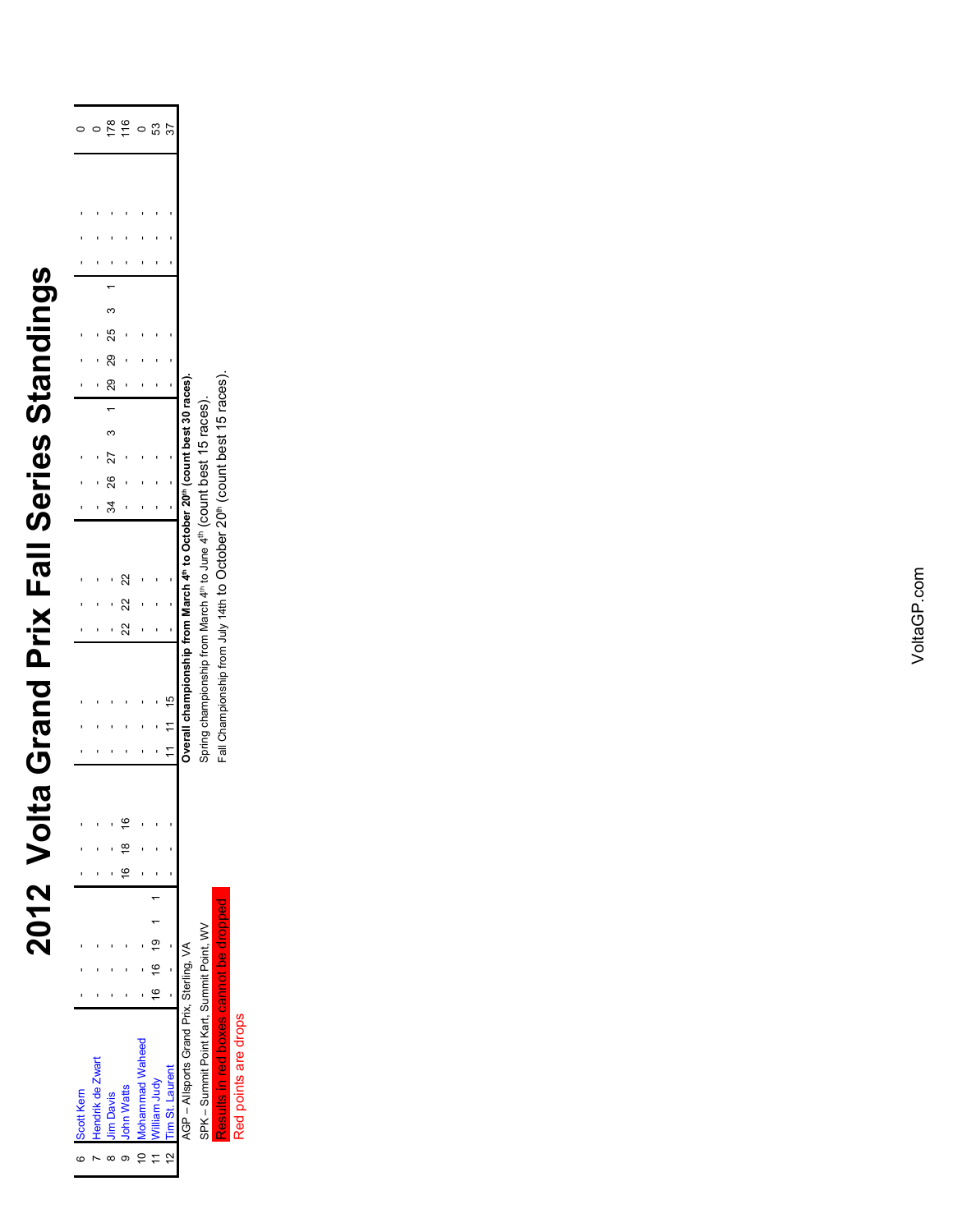## 2012 Volta Grand Prix Fall Series Standings **2012 Volta Grand Prix Fall Series Standings**

| c | Scott Kern                                |  |            |  |          |  |  |    |   |                                                                                             |  |            |  |          |  |  |  |    |
|---|-------------------------------------------|--|------------|--|----------|--|--|----|---|---------------------------------------------------------------------------------------------|--|------------|--|----------|--|--|--|----|
|   | Hendrik de Zwart                          |  |            |  |          |  |  |    |   |                                                                                             |  |            |  |          |  |  |  |    |
|   | <b>Jim Davis</b>                          |  |            |  |          |  |  |    |   |                                                                                             |  | 34 26 27 3 |  | 29 29 25 |  |  |  |    |
|   | John Watts                                |  |            |  | 16 18 16 |  |  | 22 | 2 | 22                                                                                          |  |            |  |          |  |  |  |    |
|   | 10 Mohammad Waheed                        |  |            |  |          |  |  |    |   |                                                                                             |  |            |  |          |  |  |  |    |
|   | 11 William Judy                           |  | 16 16 19 1 |  |          |  |  |    |   |                                                                                             |  |            |  |          |  |  |  | යි |
|   | 12 Tim St. Laurent                        |  |            |  |          |  |  |    |   |                                                                                             |  |            |  |          |  |  |  |    |
|   | AGP - Allsports Grand Prix, Sterling, VA  |  |            |  |          |  |  |    |   | verall championship from March 4th to October 20th (count best 3                            |  |            |  |          |  |  |  |    |
|   | SPK - Summit Point Kart, Summit Point, WV |  |            |  |          |  |  |    |   | pring championship from March 4 <sup>th</sup> to June 4 <sup>th</sup> (COUnt best 15 races) |  |            |  |          |  |  |  |    |

Fall Championship from July 14th to October 20<sup>th</sup> (count best 15 races). Fall Championship from July 14th to October 20th (count best 15 races). Overalli orialinipolitativi in marcii + o o Occuperi 4º (count best 15 races).<br>Spring championship from March 4º to June 4<sup>º</sup> (Count best 15 races). Spring championship from March 4<sup>th</sup> to June 4<sup>th</sup> (COUnt best 15 races).

> <mark>Results in red boxes cannot be dropped</mark><br>Red points are drops Red points are drops

SPK – Summit Point Kart, Summit Point, WV Results in red boxes cannot be dropped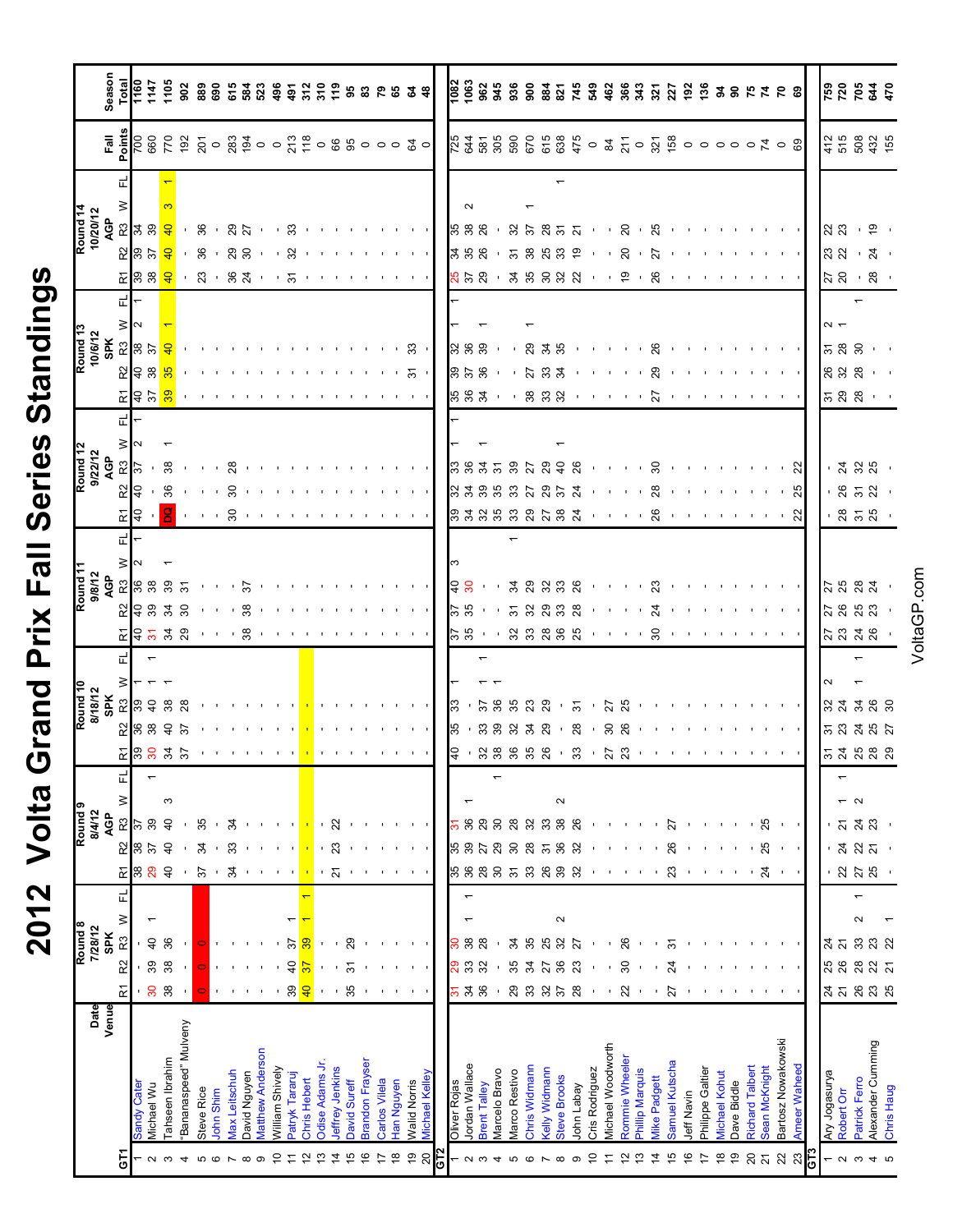## 2012 Volta Grand Prix Fall Series Standings **2012 Volta Grand Prix Fall Series Standings**

|                     |                            | Season<br>Total<br>T160                                                                                                                                                                                                                                                                                             |           |              |                     |                                                                                                                                                                                                                                    |            |          |                      |              |                  |                        |                |                     |                |                 |              |                        |               |              |                                                                                               |               |     |                                                                               |               |                     |               |                           |               |                      |                     |            |                |                   |                |                 |                |                |            |                  |                      |             |                        |                          |                     |                     |     |                          |               | 88842                     |                   |            |
|---------------------|----------------------------|---------------------------------------------------------------------------------------------------------------------------------------------------------------------------------------------------------------------------------------------------------------------------------------------------------------------|-----------|--------------|---------------------|------------------------------------------------------------------------------------------------------------------------------------------------------------------------------------------------------------------------------------|------------|----------|----------------------|--------------|------------------|------------------------|----------------|---------------------|----------------|-----------------|--------------|------------------------|---------------|--------------|-----------------------------------------------------------------------------------------------|---------------|-----|-------------------------------------------------------------------------------|---------------|---------------------|---------------|---------------------------|---------------|----------------------|---------------------|------------|----------------|-------------------|----------------|-----------------|----------------|----------------|------------|------------------|----------------------|-------------|------------------------|--------------------------|---------------------|---------------------|-----|--------------------------|---------------|---------------------------|-------------------|------------|
|                     |                            | $\frac{1}{2}$ $\frac{1}{2}$ $\frac{1}{2}$ $\frac{1}{2}$ $\frac{1}{2}$ $\frac{1}{2}$ $\frac{1}{2}$ $\frac{1}{2}$ $\frac{1}{2}$ $\frac{1}{2}$ $\frac{1}{2}$ $\frac{1}{2}$ $\frac{1}{2}$ $\frac{1}{2}$ $\frac{1}{2}$ $\frac{1}{2}$ $\frac{1}{2}$ $\frac{1}{2}$ $\frac{1}{2}$ $\frac{1}{2}$ $\frac{1}{2}$ $\frac{1}{2}$ |           |              |                     |                                                                                                                                                                                                                                    |            |          |                      |              |                  |                        |                |                     |                |                 |              |                        |               |              |                                                                                               |               |     |                                                                               |               |                     |               |                           |               |                      |                     |            |                |                   |                |                 |                |                |            |                  |                      |             |                        |                          |                     |                     |     |                          |               |                           |                   |            |
|                     |                            |                                                                                                                                                                                                                                                                                                                     |           |              |                     |                                                                                                                                                                                                                                    |            |          |                      |              |                  |                        |                |                     |                |                 |              |                        |               |              |                                                                                               |               |     |                                                                               |               |                     |               |                           |               |                      |                     |            |                |                   |                |                 |                |                |            |                  |                      |             |                        |                          |                     |                     |     |                          |               |                           |                   |            |
| Round <sub>14</sub> | 10/20/12                   |                                                                                                                                                                                                                                                                                                                     |           |              |                     | <mark>ୁ ଅ</mark> ଟେ <mark>ବ</mark> ା ୫ । ଅଗ୍ରାମ ଓ ୧ - ୧ - ୧ - ୧ - ୧ - ୧ - <mark>୧</mark>                                                                                                                                           |            |          |                      |              |                  |                        |                |                     |                |                 |              |                        |               |              |                                                                                               |               |     |                                                                               |               |                     |               |                           |               |                      |                     |            |                |                   |                |                 |                |                |            |                  |                      |             |                        |                          |                     |                     |     | ន្ត្រ                    |               |                           | - 은 -             |            |
|                     |                            |                                                                                                                                                                                                                                                                                                                     |           |              |                     |                                                                                                                                                                                                                                    |            |          |                      |              |                  |                        |                |                     |                |                 |              |                        |               |              |                                                                                               |               |     | 388905888990080800000000000000                                                |               |                     |               |                           |               |                      |                     |            |                |                   |                |                 |                |                |            |                  |                      |             |                        |                          |                     |                     |     |                          |               | $ 88 \cdot 8 \cdot$       |                   |            |
|                     |                            |                                                                                                                                                                                                                                                                                                                     |           |              |                     |                                                                                                                                                                                                                                    |            |          |                      |              |                  |                        |                |                     |                |                 |              |                        |               |              |                                                                                               |               |     | 858 · 38888 · · 2 · 8 · · · · · · · · · ·                                     |               |                     |               |                           |               |                      |                     |            |                |                   |                |                 |                |                |            |                  |                      |             |                        |                          |                     |                     |     |                          |               | $38 - 8$                  |                   |            |
|                     |                            |                                                                                                                                                                                                                                                                                                                     |           |              |                     |                                                                                                                                                                                                                                    |            |          |                      |              |                  |                        |                |                     |                |                 |              |                        |               |              |                                                                                               |               |     |                                                                               |               |                     |               |                           |               |                      |                     |            |                |                   |                |                 |                |                |            |                  |                      |             |                        |                          |                     |                     |     |                          |               |                           |                   |            |
|                     |                            |                                                                                                                                                                                                                                                                                                                     |           |              |                     |                                                                                                                                                                                                                                    |            |          |                      |              |                  |                        |                |                     |                |                 |              |                        |               |              |                                                                                               |               |     |                                                                               |               |                     |               |                           |               |                      |                     |            |                |                   |                |                 |                |                |            |                  |                      |             |                        |                          |                     |                     |     |                          |               |                           |                   |            |
| Round <sub>13</sub> |                            |                                                                                                                                                                                                                                                                                                                     |           |              | <mark>ិង</mark> និង |                                                                                                                                                                                                                                    |            |          |                      |              |                  |                        |                |                     |                |                 |              |                        |               |              | $\mathcal{C}$ and $\mathcal{C}$ and $\mathcal{C}$ and $\mathcal{C}$                           |               |     | 888 - 838 - - - - 8 - - - - - - - - -                                         |               |                     |               |                           |               |                      |                     |            |                |                   |                |                 |                |                |            |                  |                      |             |                        |                          |                     |                     |     |                          |               | $\frac{1}{6}$ គឺ ខ<br>828 |                   |            |
|                     |                            |                                                                                                                                                                                                                                                                                                                     |           |              | <u> 또 ) 승 명</u>     |                                                                                                                                                                                                                                    |            |          |                      |              |                  | ついり りょうしょう あり          |                |                     |                |                 |              |                        |               |              | .                                                                                             |               |     | <b>888 - 888</b> - 1118 - 1119 - 111<br>883 - 883 - - - - - - - - - - - - - - |               |                     |               |                           |               |                      |                     |            |                |                   |                |                 |                |                |            |                  |                      |             |                        |                          |                     |                     |     |                          |               | $588 - 1$                 |                   |            |
|                     |                            |                                                                                                                                                                                                                                                                                                                     |           |              |                     |                                                                                                                                                                                                                                    |            |          |                      |              |                  |                        |                |                     |                |                 |              |                        |               |              |                                                                                               |               |     |                                                                               |               |                     |               |                           |               |                      |                     |            |                |                   |                |                 |                |                |            |                  |                      |             |                        |                          |                     |                     |     |                          |               |                           |                   |            |
|                     |                            |                                                                                                                                                                                                                                                                                                                     |           |              |                     |                                                                                                                                                                                                                                    |            |          |                      |              |                  |                        |                |                     |                |                 |              |                        |               |              |                                                                                               |               |     |                                                                               |               |                     |               |                           |               |                      |                     |            |                |                   |                |                 |                |                |            |                  |                      |             |                        |                          |                     |                     |     |                          |               |                           |                   |            |
|                     | Round 12<br>9/22/12<br>AGP |                                                                                                                                                                                                                                                                                                                     |           |              |                     | $\mathbb{Z}$ ନ ମଞ୍ଚଳ ମାନ୍ତ୍ର ସେଥି । ସେଥି ମାନ୍ତ୍ର ମାନ୍ତ୍ର ମାନ୍ତ୍ର ମାନ୍ତ୍ର ମାନ୍ତ୍ର ମାନ୍ତ୍ର ମାନ୍ତ୍ର ମାନ୍ତ୍ର ମାନ୍ତ୍ର ମାନ୍ତ୍ର ମାନ୍ତ୍ର ମାନ୍ତ୍ର ମାନ୍ତ୍ର ମାନ୍ତ୍ର ମାନ୍ତ୍ର ମାନ୍ତ୍ର ମାନ୍ତ୍ର ମାନ୍ତ୍ର ମାନ୍ତ୍ର ମାନ୍ତ୍ର ମାନ୍ତ୍ର ମାନ୍ତ୍ର ମାନ୍ତ୍ର ମ |            |          |                      |              |                  |                        |                |                     |                |                 |              |                        |               |              |                                                                                               |               |     |                                                                               |               |                     |               |                           |               |                      |                     |            |                |                   |                |                 |                |                |            |                  |                      |             |                        |                          |                     |                     |     |                          |               | ್ಷ ಜ ಜ -                  |                   |            |
|                     |                            |                                                                                                                                                                                                                                                                                                                     |           |              |                     |                                                                                                                                                                                                                                    |            |          |                      |              |                  |                        |                |                     |                |                 |              |                        |               |              |                                                                                               |               |     |                                                                               |               |                     |               |                           |               |                      |                     |            |                |                   |                |                 |                |                |            |                  |                      |             |                        |                          |                     |                     |     |                          |               | $-852$                    |                   |            |
|                     |                            | $\widetilde{\textbf{r}}$                                                                                                                                                                                                                                                                                            |           |              |                     |                                                                                                                                                                                                                                    |            |          |                      |              |                  |                        |                |                     |                |                 |              |                        |               |              |                                                                                               |               |     |                                                                               |               |                     |               |                           |               |                      |                     |            |                |                   |                |                 |                |                |            |                  |                      |             |                        |                          |                     |                     |     |                          |               | ុ ឌ ឝ ឌ ុ                 |                   |            |
|                     |                            |                                                                                                                                                                                                                                                                                                                     |           |              |                     |                                                                                                                                                                                                                                    |            |          |                      |              |                  |                        |                |                     |                |                 |              |                        |               |              |                                                                                               |               |     |                                                                               |               |                     |               |                           |               |                      |                     |            |                |                   |                |                 |                |                |            |                  |                      |             |                        |                          |                     |                     |     |                          |               |                           |                   |            |
|                     |                            |                                                                                                                                                                                                                                                                                                                     |           |              |                     |                                                                                                                                                                                                                                    |            |          |                      |              |                  |                        |                |                     |                |                 |              |                        |               |              |                                                                                               |               |     |                                                                               |               |                     |               |                           |               |                      |                     |            |                |                   |                |                 |                |                |            |                  |                      |             |                        |                          |                     |                     |     |                          |               |                           |                   |            |
|                     | Round 11<br>9/8/12<br>AGP  |                                                                                                                                                                                                                                                                                                                     |           |              |                     | $29$ $38$ $38$ $111$ $811$ $1111$ $1111$ $1111$                                                                                                                                                                                    |            |          |                      |              |                  |                        |                |                     |                |                 |              |                        |               |              | the contract of the contract of the con-                                                      |               |     | $\frac{1}{3}$                                                                 |               |                     |               |                           |               |                      |                     |            |                |                   |                |                 |                |                |            |                  |                      |             |                        |                          |                     |                     |     |                          |               | 5883<br>2883.             |                   |            |
|                     |                            | ò.                                                                                                                                                                                                                                                                                                                  |           |              |                     | । <del>२</del> ८ ४ २ ५ ० ४ % व्यापार वा पायर पायर                                                                                                                                                                                  |            |          |                      |              |                  |                        |                |                     |                |                 |              |                        |               |              |                                                                                               |               |     |                                                                               |               |                     |               |                           |               |                      |                     |            |                |                   |                |                 |                |                |            |                  |                      |             |                        |                          |                     |                     |     |                          |               | 5338.                     |                   |            |
|                     |                            | 正                                                                                                                                                                                                                                                                                                                   |           |              |                     |                                                                                                                                                                                                                                    |            |          |                      |              |                  |                        |                |                     |                |                 |              |                        |               |              |                                                                                               |               |     |                                                                               |               |                     |               |                           |               |                      |                     |            |                |                   |                |                 |                |                |            |                  |                      |             |                        |                          |                     |                     |     |                          |               |                           |                   |            |
|                     |                            | ≥                                                                                                                                                                                                                                                                                                                   |           |              |                     |                                                                                                                                                                                                                                    |            |          |                      |              |                  |                        |                |                     |                |                 |              |                        |               |              |                                                                                               |               |     |                                                                               |               |                     |               |                           |               |                      |                     |            |                |                   |                |                 |                |                |            |                  |                      |             |                        |                          |                     |                     |     |                          |               |                           |                   |            |
| Round <sub>10</sub> | 8/18/12<br>SPK             |                                                                                                                                                                                                                                                                                                                     |           |              | <b>2898</b>         | 28                                                                                                                                                                                                                                 |            |          |                      |              |                  |                        |                |                     |                |                 |              |                        |               |              |                                                                                               |               |     |                                                                               |               |                     |               |                           |               |                      |                     |            |                |                   |                |                 |                |                |            |                  |                      |             |                        |                          |                     |                     |     |                          |               | 87728                     |                   |            |
|                     |                            |                                                                                                                                                                                                                                                                                                                     |           |              | 2889                | ৯                                                                                                                                                                                                                                  |            |          |                      |              |                  |                        |                |                     |                |                 |              |                        |               |              |                                                                                               |               |     | 55                                                                            |               |                     |               |                           |               |                      |                     |            |                |                   |                |                 |                |                |            |                  |                      |             |                        |                          |                     |                     |     |                          |               | ភន្តងន្ត                  |                   |            |
|                     |                            |                                                                                                                                                                                                                                                                                                                     |           |              | $E$  ខេន ភ ន        |                                                                                                                                                                                                                                    |            |          |                      |              |                  |                        |                |                     |                |                 |              |                        |               |              | the contract of the con-                                                                      |               |     |                                                                               |               |                     |               |                           |               |                      |                     |            |                |                   |                |                 |                |                |            |                  |                      |             |                        |                          |                     |                     |     |                          |               | 53588                     |                   |            |
|                     |                            | ᄄ                                                                                                                                                                                                                                                                                                                   |           |              |                     |                                                                                                                                                                                                                                    |            |          |                      |              |                  |                        |                |                     |                |                 |              |                        |               |              |                                                                                               |               |     |                                                                               |               |                     |               |                           |               |                      |                     |            |                |                   |                |                 |                |                |            |                  |                      |             |                        |                          |                     |                     |     |                          |               |                           |                   |            |
| Round <sub>9</sub>  | 8/4/12<br>å                | ≥<br>R3                                                                                                                                                                                                                                                                                                             |           | 39           | $\overline{4}$      |                                                                                                                                                                                                                                    | 35         |          | 24                   |              |                  |                        |                |                     |                | 22              |              |                        |               |              |                                                                                               |               |     | 55<br>36                                                                      |               | 29                  | 30            | 28                        | 32            | 33                   | Ν<br>$38\,$         | 26         |                |                   |                |                 |                | 27             |            |                  |                      |             |                        | 25                       |                     |                     |     |                          | ត             | 24                        |                   |            |
|                     |                            | 52                                                                                                                                                                                                                                                                                                                  | န္က       | $\approx$    | a                   |                                                                                                                                                                                                                                    | \$         |          | 33                   |              |                  |                        |                |                     |                | ಔ               |              |                        |               | $\sim 10-10$ | $\sim 10-1$                                                                                   |               |     | 5828                                                                          |               |                     |               | $30^{\circ}$              | 28            | ৯                    | 36                  | 32         |                |                   |                |                 |                | ଅ              |            |                  |                      |             |                        | 25                       |                     |                     |     |                          |               |                           |                   |            |
|                     |                            | 균                                                                                                                                                                                                                                                                                                                   | 88        | $\mathbf{g}$ | $\overline{a}$      |                                                                                                                                                                                                                                    | 57         |          | ¥                    |              |                  | $1 - 1 - 1 - 1$        |                |                     |                | $\overline{z}$  |              |                        |               |              | $\mathbf{1} \in \mathbb{R}^n$ , $\mathbf{1} \in \mathbb{R}^n$ , $\mathbf{1} \in \mathbb{R}^n$ |               |     | 5888                                                                          |               |                     |               | $\overline{\mathfrak{S}}$ | 33            | <b>88</b>            |                     | 32         |                |                   |                |                 |                | 23             |            |                  |                      |             |                        | $\overline{\mathcal{A}}$ | $\sim 1$ , $\sim 1$ |                     |     |                          |               | 22<br>25<br>25            |                   |            |
|                     |                            | ᇛ                                                                                                                                                                                                                                                                                                                   |           |              |                     |                                                                                                                                                                                                                                    |            |          |                      |              |                  |                        |                |                     |                |                 |              |                        |               |              |                                                                                               |               |     |                                                                               |               |                     |               |                           |               |                      |                     |            |                |                   |                |                 |                |                |            |                  |                      |             |                        |                          |                     |                     |     |                          |               |                           |                   |            |
|                     |                            | $\geq$                                                                                                                                                                                                                                                                                                              |           |              |                     |                                                                                                                                                                                                                                    |            |          |                      |              |                  |                        |                |                     |                |                 |              |                        |               |              |                                                                                               |               |     |                                                                               |               |                     |               |                           |               |                      | $\sim$              |            |                |                   |                |                 |                |                |            |                  |                      |             |                        |                          |                     |                     |     |                          |               | $\sim$                    |                   |            |
| Round <sub>8</sub>  | 7/28/12<br><b>SPK</b>      | R3                                                                                                                                                                                                                                                                                                                  |           | ੩            | 36                  |                                                                                                                                                                                                                                    |            |          |                      |              |                  |                        | స్             | စ္က                 |                |                 | 29           |                        |               |              | $\mathbf{1}=\mathbf{1}$                                                                       |               |     | 8.8                                                                           |               | $^{28}$             |               | 34                        | వి            | 25                   | 32                  | 2          |                |                   | ಜ              |                 |                | ᢌ              |            |                  |                      |             |                        |                          |                     |                     |     |                          | $\frac{4}{2}$ |                           | ន ឌ ឌ             |            |
|                     |                            | R <sub>2</sub>                                                                                                                                                                                                                                                                                                      |           | 99           | 38                  |                                                                                                                                                                                                                                    |            |          |                      |              |                  |                        | $\theta$       |                     |                |                 | ᢌ            |                        |               |              | $\mathbf{H}^{\prime}=\mathbf{H}^{\prime}+\mathbf{H}^{\prime}$                                 |               |     | <b>ខ</b> ឌ ឌ                                                                  |               |                     |               | 35                        | रू            | ನ                    | 36                  | ಔ          |                |                   | వి             |                 |                | Z4             |            |                  |                      |             |                        |                          |                     |                     |     |                          | <b>25</b> 26  | 28                        | <u>ន</u> ភ        |            |
|                     |                            | $\tilde{\kappa}$                                                                                                                                                                                                                                                                                                    |           | ႙ၟ           | 38                  |                                                                                                                                                                                                                                    |            |          |                      |              |                  |                        | . 93           | $\frac{1}{2}$       |                |                 |              |                        |               |              | $(1 - 1) = \frac{100}{100} = 1 - 1 = 1 = 1 = 1 = 1$                                           |               |     | 57.8                                                                          |               |                     |               |                           | 83858         |                      |                     |            |                |                   |                |                 |                |                |            |                  |                      |             |                        |                          |                     |                     |     |                          |               |                           |                   |            |
|                     | Date<br>Venue              |                                                                                                                                                                                                                                                                                                                     |           |              |                     |                                                                                                                                                                                                                                    |            |          |                      |              |                  |                        |                |                     |                |                 |              |                        |               |              |                                                                                               |               |     |                                                                               |               |                     |               |                           |               |                      |                     |            |                |                   |                |                 |                |                |            |                  |                      |             |                        |                          |                     |                     |     |                          |               |                           |                   |            |
|                     |                            |                                                                                                                                                                                                                                                                                                                     |           |              |                     | Bananaspeed" Mulveny                                                                                                                                                                                                               |            |          |                      |              |                  |                        |                |                     |                |                 |              |                        |               |              |                                                                                               |               |     |                                                                               |               |                     |               |                           |               |                      |                     |            |                |                   |                |                 |                |                |            |                  |                      |             |                        |                          | Bartosz Nowakowski  |                     |     |                          |               |                           |                   |            |
|                     |                            |                                                                                                                                                                                                                                                                                                                     |           |              |                     |                                                                                                                                                                                                                                    |            |          |                      |              |                  |                        |                |                     |                |                 |              |                        |               |              |                                                                                               |               |     |                                                                               |               |                     |               |                           |               |                      |                     |            |                |                   |                |                 |                |                |            |                  |                      |             |                        |                          |                     |                     |     |                          |               |                           |                   |            |
|                     |                            |                                                                                                                                                                                                                                                                                                                     | andy Cate | Vichael Wu   | ahseen Ibrahim      |                                                                                                                                                                                                                                    | Steve Rice | ohn Shim | <b>Jax Leitschuh</b> | David Nguyen | Matthew Anderson | <b>Nilliam Shively</b> | Patryk Tararuj | <b>Chris Hebert</b> | Odise Adams Jr | leffrey Jenkins | David Sureff | <b>Brandon Frayser</b> | Carlos Vilela | Han Nguyen   | <b>Nalid Norris</b>                                                                           | Vichael Kelle |     | <b>Oliver Rojas</b>                                                           | ordan Wallace | <b>Brent Talley</b> | Varcelo Bravo | Vlarco Restivo            | Chris Widmann | <b>Celly Widmann</b> | <b>Steve Brooks</b> | lohn Labay | Cris Rodriguez | Vichael Woodworth | Rommie Wheeler | Phillip Marquis | Vike Padgett   | Samuel Kutscha | Jeff Navin | Philippe Galtier | <b>Michael Kohut</b> | Dave Biddle | <b>Richard Talbert</b> | Sean McKnight            |                     | <b>Ameer Waheed</b> |     | Ary Jogasurya            | Robert Orr    | Patrick Ferro             | Alexander Cumming | Chris Haug |
|                     |                            |                                                                                                                                                                                                                                                                                                                     |           |              |                     |                                                                                                                                                                                                                                    |            |          |                      |              |                  |                        |                |                     |                |                 |              |                        |               |              |                                                                                               |               |     |                                                                               |               |                     |               |                           |               |                      |                     |            |                |                   |                |                 |                |                |            |                  |                      |             |                        |                          |                     |                     |     |                          |               |                           |                   |            |
|                     |                            | 5                                                                                                                                                                                                                                                                                                                   |           | $\sim$       | S                   | ෑ                                                                                                                                                                                                                                  | 5          |          |                      |              | ၜ                |                        |                |                     |                | 4               |              |                        |               | œ            | e,                                                                                            | ສ             | GΤ2 |                                                                               | പ ധ           |                     |               |                           |               |                      | $\infty$            | ၜ          | S              |                   |                | ౖ               | $\overline{4}$ | 46             | ؋          | 17               | ₽                    | ę,          | 20                     | $\overline{\mathsf{S}}$  | 22                  | ಔ                   | GТ3 | $\overline{\phantom{0}}$ | പ ധ           |                           | 4                 |            |

VoltaGP.com